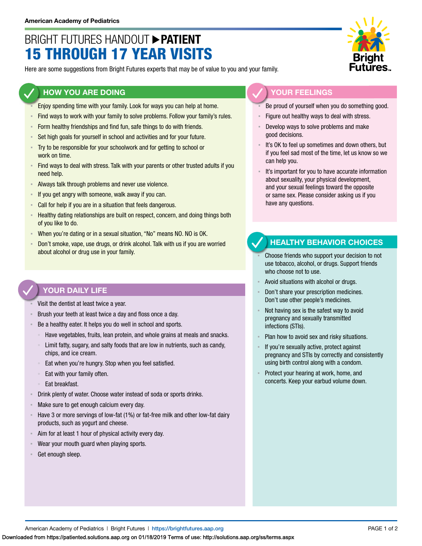# BRIGHT FUTURES HANDOUT **PATIENT** 15 THROUGH 17 YEAR VISITS

Here are some suggestions from Bright Futures experts that may be of value to you and your family.

#### **HOW YOU ARE DOING**

- Enjoy spending time with your family. Look for ways you can help at home.
- Find ways to work with your family to solve problems. Follow your family's rules.
- **EXECT** Form healthy friendships and find fun, safe things to do with friends.
- **EXECT** Set high goals for yourself in school and activities and for your future.
- Try to be responsible for your schoolwork and for getting to school or work on time.
- Find ways to deal with stress. Talk with your parents or other trusted adults if you need help.
- Always talk through problems and never use violence.
- If you get angry with someone, walk away if you can.
- **EXECAL FOR THE CALL FORM IS CALL FORM CALL FORM CALL FORM CALL FORM CALL FORM CALL FORM CALL FORM CALL FORM CALL FORM CALL FORM CALL FORM CALL FORM CALL FORM CALL FORM CALL FORM CALL FORM C**
- **EXECT** Healthy dating relationships are built on respect, concern, and doing things both of you like to do.
- When you're dating or in a sexual situation, "No" means NO. NO is OK.
- Don't smoke, vape, use drugs, or drink alcohol. Talk with us if you are worried about alcohol or drug use in your family.

#### **YOUR DAILY LIFE**

- Visit the dentist at least twice a year.
- Brush your teeth at least twice a day and floss once a day.
- Be a healthy eater. It helps you do well in school and sports.
	- Have vegetables, fruits, lean protein, and whole grains at meals and snacks.
	- Limit fatty, sugary, and salty foods that are low in nutrients, such as candy, chips, and ice cream.
	- Eat when you're hungry. Stop when you feel satisfied.
	- Eat with your family often.
	- Eat breakfast.
- Drink plenty of water. Choose water instead of soda or sports drinks.
- Make sure to get enough calcium every day.
- Have 3 or more servings of low-fat (1%) or fat-free milk and other low-fat dairy products, such as yogurt and cheese.
- **EXECT** Aim for at least 1 hour of physical activity every day.
- Wear your mouth guard when playing sports.
- Get enough sleep.



### **YOUR FEELINGS**

- Be proud of yourself when you do something good.
- Figure out healthy ways to deal with stress.
- Develop ways to solve problems and make good decisions.
- It's OK to feel up sometimes and down others, but if you feel sad most of the time, let us know so we can help you.
- It's important for you to have accurate information about sexuality, your physical development, and your sexual feelings toward the opposite or same sex. Please consider asking us if you have any questions.

#### **HEALTHY BEHAVIOR CHOICES**

- Choose friends who support your decision to not use tobacco, alcohol, or drugs. Support friends who choose not to use.
- Avoid situations with alcohol or drugs.
- Don't share your prescription medicines. Don't use other people's medicines.
- Not having sex is the safest way to avoid pregnancy and sexually transmitted infections (STIs).
- Plan how to avoid sex and risky situations.
- If you're sexually active, protect against pregnancy and STIs by correctly and consistently using birth control along with a condom.
- Protect your hearing at work, home, and concerts. Keep your earbud volume down.

American Academy of Pediatrics | Bright Futures | https://[brightfutures.aap.org](https://brightfutures.aap.org/Pages/default.aspx) PAGE 1 of 2

Downloaded from https://patiented.solutions.aap.org on 01/18/2019 Terms of use: http://solutions.aap.org/ss/terms.aspx